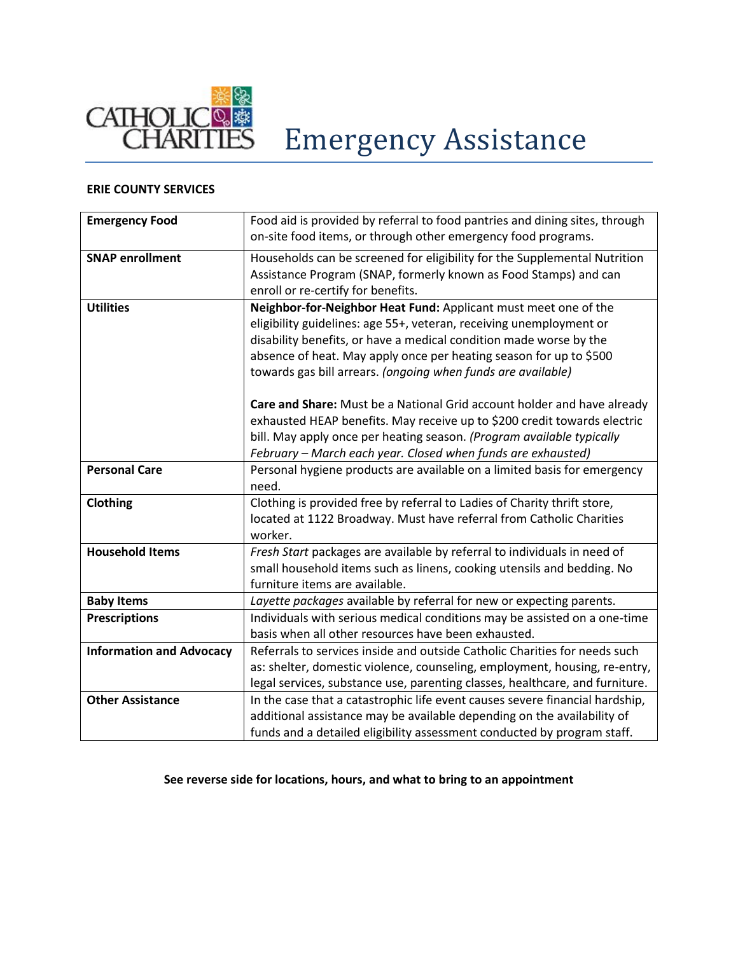

# Emergency Assistance

## **ERIE COUNTY SERVICES**

| <b>Emergency Food</b>           | Food aid is provided by referral to food pantries and dining sites, through<br>on-site food items, or through other emergency food programs.                                                                                                                                                                                                       |  |  |
|---------------------------------|----------------------------------------------------------------------------------------------------------------------------------------------------------------------------------------------------------------------------------------------------------------------------------------------------------------------------------------------------|--|--|
| <b>SNAP enrollment</b>          | Households can be screened for eligibility for the Supplemental Nutrition<br>Assistance Program (SNAP, formerly known as Food Stamps) and can<br>enroll or re-certify for benefits.                                                                                                                                                                |  |  |
| <b>Utilities</b>                | Neighbor-for-Neighbor Heat Fund: Applicant must meet one of the<br>eligibility guidelines: age 55+, veteran, receiving unemployment or<br>disability benefits, or have a medical condition made worse by the<br>absence of heat. May apply once per heating season for up to \$500<br>towards gas bill arrears. (ongoing when funds are available) |  |  |
|                                 | Care and Share: Must be a National Grid account holder and have already<br>exhausted HEAP benefits. May receive up to \$200 credit towards electric<br>bill. May apply once per heating season. (Program available typically<br>February - March each year. Closed when funds are exhausted)                                                       |  |  |
| <b>Personal Care</b>            | Personal hygiene products are available on a limited basis for emergency<br>need.                                                                                                                                                                                                                                                                  |  |  |
| Clothing                        | Clothing is provided free by referral to Ladies of Charity thrift store,<br>located at 1122 Broadway. Must have referral from Catholic Charities<br>worker.                                                                                                                                                                                        |  |  |
| <b>Household Items</b>          | Fresh Start packages are available by referral to individuals in need of<br>small household items such as linens, cooking utensils and bedding. No<br>furniture items are available.                                                                                                                                                               |  |  |
| <b>Baby Items</b>               | Layette packages available by referral for new or expecting parents.                                                                                                                                                                                                                                                                               |  |  |
| <b>Prescriptions</b>            | Individuals with serious medical conditions may be assisted on a one-time<br>basis when all other resources have been exhausted.                                                                                                                                                                                                                   |  |  |
| <b>Information and Advocacy</b> | Referrals to services inside and outside Catholic Charities for needs such<br>as: shelter, domestic violence, counseling, employment, housing, re-entry,<br>legal services, substance use, parenting classes, healthcare, and furniture.                                                                                                           |  |  |
| <b>Other Assistance</b>         | In the case that a catastrophic life event causes severe financial hardship,<br>additional assistance may be available depending on the availability of<br>funds and a detailed eligibility assessment conducted by program staff.                                                                                                                 |  |  |

### **See reverse side for locations, hours, and what to bring to an appointment**